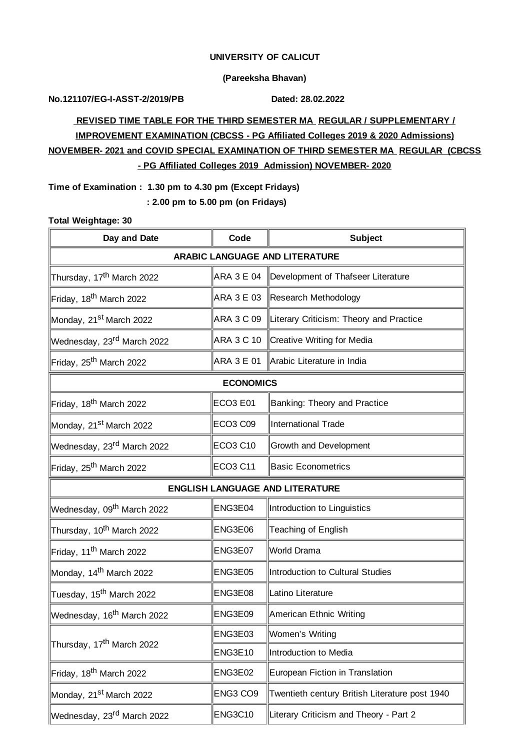### **UNIVERSITY OF CALICUT**

### **(Pareeksha Bhavan)**

**No.121107/EG-I-ASST-2/2019/PB Dated: 28.02.2022**

# **REVISED TIME TABLE FOR THE THIRD SEMESTER MA REGULAR / SUPPLEMENTARY / IMPROVEMENT EXAMINATION (CBCSS - PG Affiliated Colleges 2019 & 2020 Admissions) NOVEMBER- 2021 and COVID SPECIAL EXAMINATION OF THIRD SEMESTER MA REGULAR (CBCSS - PG Affiliated Colleges 2019 Admission) NOVEMBER- 2020**

**Time of Examination : 1.30 pm to 4.30 pm (Except Fridays) : 2.00 pm to 5.00 pm (on Fridays)**

#### **Total Weightage: 30**

| Day and Date                           | Code              | <b>Subject</b>                                 |  |  |  |  |
|----------------------------------------|-------------------|------------------------------------------------|--|--|--|--|
| <b>ARABIC LANGUAGE AND LITERATURE</b>  |                   |                                                |  |  |  |  |
| Thursday, 17 <sup>th</sup> March 2022  | <b>ARA 3 E 04</b> | Development of Thafseer Literature             |  |  |  |  |
| Friday, 18 <sup>th</sup> March 2022    |                   | ARA 3 E 03 Research Methodology                |  |  |  |  |
| Monday, 21 <sup>st</sup> March 2022    | ARA 3 C 09        | Literary Criticism: Theory and Practice        |  |  |  |  |
| Wednesday, 23 <sup>rd</sup> March 2022 |                   | ARA 3 C 10 Creative Writing for Media          |  |  |  |  |
| Friday, 25 <sup>th</sup> March 2022    |                   | ARA 3 E 01 Arabic Literature in India          |  |  |  |  |
| <b>ECONOMICS</b>                       |                   |                                                |  |  |  |  |
| Friday, 18 <sup>th</sup> March 2022    | <b>ECO3 E01</b>   | Banking: Theory and Practice                   |  |  |  |  |
| Monday, 21 <sup>st</sup> March 2022    | <b>ECO3 C09</b>   | International Trade                            |  |  |  |  |
| Wednesday, 23 <sup>rd</sup> March 2022 | <b>ECO3 C10</b>   | Growth and Development                         |  |  |  |  |
| Friday, 25 <sup>th</sup> March 2022    | <b>ECO3 C11</b>   | <b>Basic Econometrics</b>                      |  |  |  |  |
| <b>ENGLISH LANGUAGE AND LITERATURE</b> |                   |                                                |  |  |  |  |
| Wednesday, 09 <sup>th</sup> March 2022 | ENG3E04           | Introduction to Linguistics                    |  |  |  |  |
| Thursday, 10 <sup>th</sup> March 2022  | ENG3E06           | Teaching of English                            |  |  |  |  |
| Friday, 11 <sup>th</sup> March 2022    | ENG3E07           | World Drama                                    |  |  |  |  |
| Monday, 14 <sup>th</sup> March 2022    | ENG3E05           | Introduction to Cultural Studies               |  |  |  |  |
| Tuesday, 15 <sup>th</sup> March 2022   | ENG3E08           | Latino Literature                              |  |  |  |  |
| Wednesday, 16 <sup>th</sup> March 2022 | ENG3E09           | American Ethnic Writing                        |  |  |  |  |
| Thursday, 17 <sup>th</sup> March 2022  | ENG3E03           | Women's Writing                                |  |  |  |  |
|                                        | ENG3E10           | Introduction to Media                          |  |  |  |  |
| Friday, 18 <sup>th</sup> March 2022    | ENG3E02           | European Fiction in Translation                |  |  |  |  |
| Monday, 21 <sup>st</sup> March 2022    | ENG3 CO9          | Twentieth century British Literature post 1940 |  |  |  |  |
| Wednesday, 23 <sup>rd</sup> March 2022 | <b>ENG3C10</b>    | Literary Criticism and Theory - Part 2         |  |  |  |  |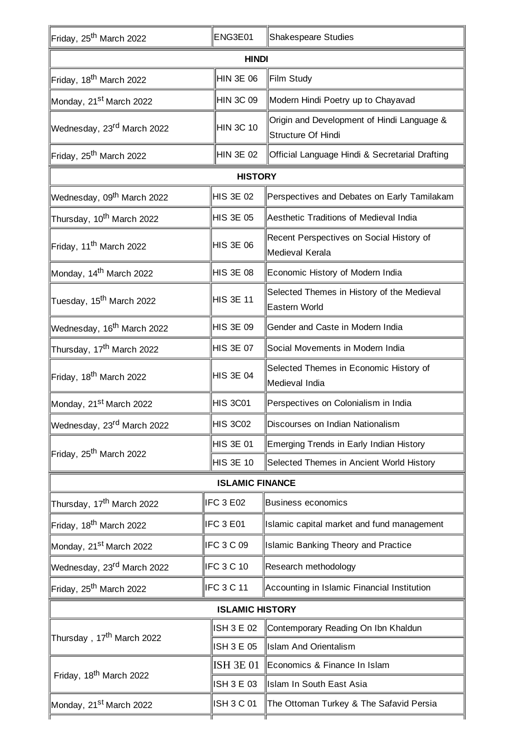| Friday, 25 <sup>th</sup> March 2022    | ENG3E01           | Shakespeare Studies                                              |  |  |  |  |
|----------------------------------------|-------------------|------------------------------------------------------------------|--|--|--|--|
| <b>HINDI</b>                           |                   |                                                                  |  |  |  |  |
| Friday, 18 <sup>th</sup> March 2022    | <b>HIN 3E 06</b>  | Film Study                                                       |  |  |  |  |
| Monday, 21 <sup>st</sup> March 2022    | <b>HIN 3C 09</b>  | Modern Hindi Poetry up to Chayavad                               |  |  |  |  |
| Wednesday, 23 <sup>rd</sup> March 2022 | <b>HIN 3C 10</b>  | Origin and Development of Hindi Language &<br>Structure Of Hindi |  |  |  |  |
| Friday, 25 <sup>th</sup> March 2022    | HIN 3E 02         | Official Language Hindi & Secretarial Drafting                   |  |  |  |  |
|                                        | <b>HISTORY</b>    |                                                                  |  |  |  |  |
| Wednesday, 09 <sup>th</sup> March 2022 | <b>HIS 3E 02</b>  | Perspectives and Debates on Early Tamilakam                      |  |  |  |  |
| Thursday, 10 <sup>th</sup> March 2022  | <b>HIS 3E 05</b>  | Aesthetic Traditions of Medieval India                           |  |  |  |  |
| Friday, 11 <sup>th</sup> March 2022    | <b>HIS 3E 06</b>  | Recent Perspectives on Social History of<br>Medieval Kerala      |  |  |  |  |
| Monday, 14 <sup>th</sup> March 2022    | HIS 3E 08         | Economic History of Modern India                                 |  |  |  |  |
| Tuesday, 15 <sup>th</sup> March 2022   | <b>HIS 3E 11</b>  | Selected Themes in History of the Medieval<br>Eastern World      |  |  |  |  |
| Wednesday, 16 <sup>th</sup> March 2022 | <b>HIS 3E 09</b>  | Gender and Caste in Modern India                                 |  |  |  |  |
| Thursday, 17 <sup>th</sup> March 2022  | <b>HIS 3E 07</b>  | Social Movements in Modern India                                 |  |  |  |  |
| Friday, 18 <sup>th</sup> March 2022    | <b>HIS 3E 04</b>  | Selected Themes in Economic History of<br>Medieval India         |  |  |  |  |
| Monday, 21st March 2022                | <b>HIS 3C01</b>   | Perspectives on Colonialism in India                             |  |  |  |  |
| Wednesday, 23 <sup>rd</sup> March 2022 | HIS 3C02          | Discourses on Indian Nationalism                                 |  |  |  |  |
| Friday, 25 <sup>th</sup> March 2022    | <b>HIS 3E 01</b>  | Emerging Trends in Early Indian History                          |  |  |  |  |
|                                        | <b>HIS 3E 10</b>  | Selected Themes in Ancient World History                         |  |  |  |  |
| <b>ISLAMIC FINANCE</b>                 |                   |                                                                  |  |  |  |  |
| Thursday, 17 <sup>th</sup> March 2022  | IFC 3 E02         | <b>Business economics</b>                                        |  |  |  |  |
| Friday, 18 <sup>th</sup> March 2022    | IFC 3 E01         | Islamic capital market and fund management                       |  |  |  |  |
| Monday, 21 <sup>st</sup> March 2022    | IFC 3 C 09        | Islamic Banking Theory and Practice                              |  |  |  |  |
| Wednesday, 23 <sup>rd</sup> March 2022 | IFC 3 C 10        | Research methodology                                             |  |  |  |  |
| Friday, 25 <sup>th</sup> March 2022    | IFC 3 C 11        | Accounting in Islamic Financial Institution                      |  |  |  |  |
| <b>ISLAMIC HISTORY</b>                 |                   |                                                                  |  |  |  |  |
| Thursday , 17 <sup>th</sup> March 2022 | ISH 3 E 02        | Contemporary Reading On Ibn Khaldun                              |  |  |  |  |
|                                        | ISH 3 E 05        | <b>Islam And Orientalism</b>                                     |  |  |  |  |
| Friday, 18 <sup>th</sup> March 2022    | <b>ISH 3E 01</b>  | Economics & Finance In Islam                                     |  |  |  |  |
|                                        | ISH 3 E 03        | Islam In South East Asia                                         |  |  |  |  |
| Monday, 21 <sup>st</sup> March 2022    | <b>ISH 3 C 01</b> | The Ottoman Turkey & The Safavid Persia                          |  |  |  |  |
|                                        |                   |                                                                  |  |  |  |  |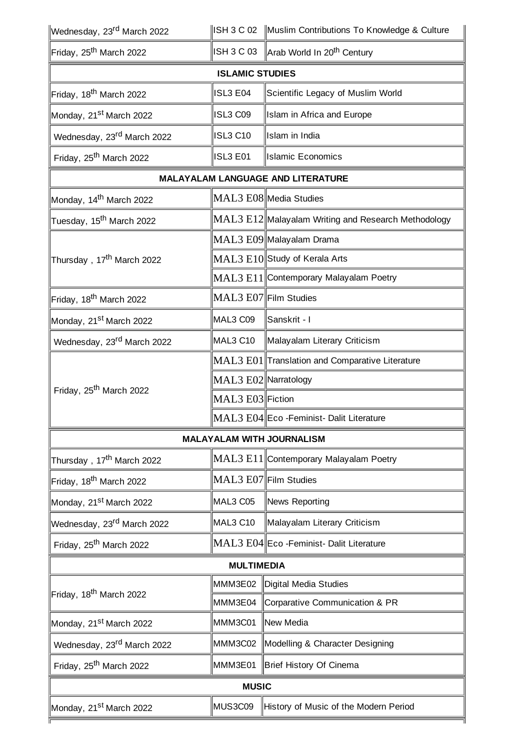| Wednesday, 23 <sup>rd</sup> March 2022 |                      | ISH 3 C 02 Muslim Contributions To Knowledge & Culture |  |  |  |  |
|----------------------------------------|----------------------|--------------------------------------------------------|--|--|--|--|
| Friday, 25 <sup>th</sup> March 2022    | <b>ISH 3 C 03</b>    | Arab World In 20 <sup>th</sup> Century                 |  |  |  |  |
| <b>ISLAMIC STUDIES</b>                 |                      |                                                        |  |  |  |  |
| Friday, 18 <sup>th</sup> March 2022    | ISL3 E04             | Scientific Legacy of Muslim World                      |  |  |  |  |
| Monday, 21 <sup>st</sup> March 2022    | ISL3 C09             | Islam in Africa and Europe                             |  |  |  |  |
| Wednesday, 23 <sup>rd</sup> March 2022 | <b>ISL3 C10</b>      | Islam in India                                         |  |  |  |  |
| Friday, 25 <sup>th</sup> March 2022    | <b>ISL3 E01</b>      | <b>Islamic Economics</b>                               |  |  |  |  |
| MALAYALAM LANGUAGE AND LITERATURE      |                      |                                                        |  |  |  |  |
| Monday, 14 <sup>th</sup> March 2022    |                      | MAL3 E08 Media Studies                                 |  |  |  |  |
| Tuesday, 15 <sup>th</sup> March 2022   |                      | MAL3 E12 Malayalam Writing and Research Methodology    |  |  |  |  |
|                                        |                      | MAL3 E09 Malayalam Drama                               |  |  |  |  |
| Thursday, 17 <sup>th</sup> March 2022  |                      | MAL3 E10 Study of Kerala Arts                          |  |  |  |  |
|                                        |                      | MAL3 E11 Contemporary Malayalam Poetry                 |  |  |  |  |
| Friday, 18 <sup>th</sup> March 2022    |                      | MAL3 E07 Film Studies                                  |  |  |  |  |
| Monday, 21 <sup>st</sup> March 2022    | MAL3 C09             | ∥Sanskrit - I                                          |  |  |  |  |
| Wednesday, 23 <sup>rd</sup> March 2022 | MAL3 C10             | Malayalam Literary Criticism                           |  |  |  |  |
| Friday, 25 <sup>th</sup> March 2022    |                      | MAL3 E01  Translation and Comparative Literature       |  |  |  |  |
|                                        | MAL3 E02 Narratology |                                                        |  |  |  |  |
|                                        | MAL3 E03 Fiction     |                                                        |  |  |  |  |
|                                        |                      | MAL3 E04 Eco - Feminist - Dalit Literature             |  |  |  |  |
|                                        |                      | <b>MALAYALAM WITH JOURNALISM</b>                       |  |  |  |  |
| Thursday, 17 <sup>th</sup> March 2022  |                      | MAL3 E11  Contemporary Malayalam Poetry                |  |  |  |  |
| Friday, 18 <sup>th</sup> March 2022    |                      | MAL3 E07 Film Studies                                  |  |  |  |  |
| Monday, 21 <sup>st</sup> March 2022    | MAL3 C05             | News Reporting                                         |  |  |  |  |
| Wednesday, 23 <sup>rd</sup> March 2022 | MAL3 C10             | Malayalam Literary Criticism                           |  |  |  |  |
| Friday, 25 <sup>th</sup> March 2022    |                      | MAL3 E04 Eco -Feminist- Dalit Literature               |  |  |  |  |
| <b>MULTIMEDIA</b>                      |                      |                                                        |  |  |  |  |
| Friday, 18 <sup>th</sup> March 2022    | MMM3E02              | Digital Media Studies                                  |  |  |  |  |
|                                        | MMM3E04              | Corparative Communication & PR                         |  |  |  |  |
| Monday, 21 <sup>st</sup> March 2022    | MMM3C01              | ∥New Media                                             |  |  |  |  |
| Wednesday, 23rd March 2022             | MMM3C02              | Modelling & Character Designing                        |  |  |  |  |
| Friday, 25 <sup>th</sup> March 2022    | MMM3E01              | Brief History Of Cinema                                |  |  |  |  |
| <b>MUSIC</b>                           |                      |                                                        |  |  |  |  |
| Monday, 21 <sup>st</sup> March 2022    | MUS3C09              | History of Music of the Modern Period                  |  |  |  |  |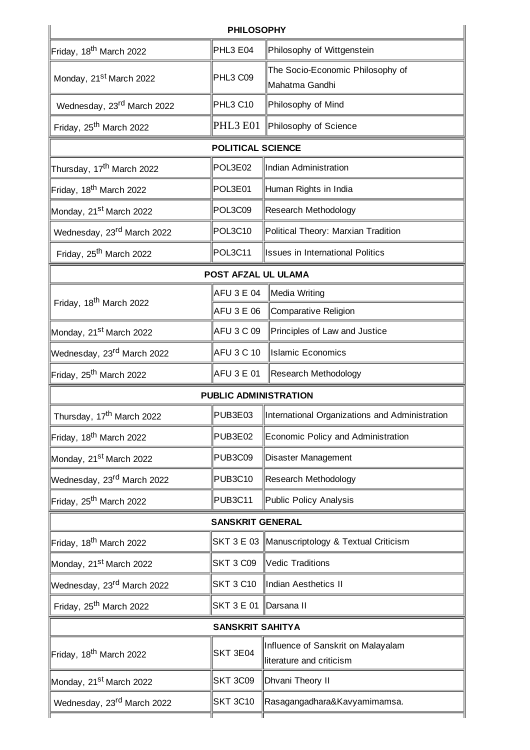|                                        | <b>PHILOSOPHY</b>       |                                                                |  |  |  |  |
|----------------------------------------|-------------------------|----------------------------------------------------------------|--|--|--|--|
| Friday, 18 <sup>th</sup> March 2022    | PHL3 E04                | Philosophy of Wittgenstein                                     |  |  |  |  |
| Monday, 21 <sup>st</sup> March 2022    | PHL3 C09                | The Socio-Economic Philosophy of<br>Mahatma Gandhi             |  |  |  |  |
| Wednesday, 23 <sup>rd</sup> March 2022 | PHL3 C10                | Philosophy of Mind                                             |  |  |  |  |
| Friday, 25 <sup>th</sup> March 2022    | PHL3 E01                | Philosophy of Science                                          |  |  |  |  |
| <b>POLITICAL SCIENCE</b>               |                         |                                                                |  |  |  |  |
| Thursday, 17 <sup>th</sup> March 2022  | POL3E02                 | Indian Administration                                          |  |  |  |  |
| Friday, 18 <sup>th</sup> March 2022    | POL3E01                 | Human Rights in India                                          |  |  |  |  |
| Monday, 21 <sup>st</sup> March 2022    | POL3C09                 | Research Methodology                                           |  |  |  |  |
| Wednesday, 23 <sup>rd</sup> March 2022 | POL3C10                 | Political Theory: Marxian Tradition                            |  |  |  |  |
| Friday, 25 <sup>th</sup> March 2022    | POL3C11                 | <b>Issues in International Politics</b>                        |  |  |  |  |
| POST AFZAL UL ULAMA                    |                         |                                                                |  |  |  |  |
| Friday, 18 <sup>th</sup> March 2022    | AFU 3 E 04              | Media Writing                                                  |  |  |  |  |
|                                        | AFU 3 E 06              | Comparative Religion                                           |  |  |  |  |
| Monday, 21 <sup>st</sup> March 2022    | AFU 3 C 09              | Principles of Law and Justice                                  |  |  |  |  |
| Wednesday, 23 <sup>rd</sup> March 2022 | <b>AFU 3 C 10</b>       | <b>Islamic Economics</b>                                       |  |  |  |  |
| Friday, 25 <sup>th</sup> March 2022    | AFU3E01                 | Research Methodology                                           |  |  |  |  |
| <b>PUBLIC ADMINISTRATION</b>           |                         |                                                                |  |  |  |  |
| Thursday, 17 <sup>th</sup> March 2022  | PUB3E03                 | International Organizations and Administration                 |  |  |  |  |
| Friday, 18 <sup>th</sup> March 2022    | PUB3E02                 | Economic Policy and Administration                             |  |  |  |  |
| Monday, 21 <sup>st</sup> March 2022    | <b>PUB3C09</b>          | Disaster Management                                            |  |  |  |  |
| Wednesday, 23 <sup>rd</sup> March 2022 | <b>PUB3C10</b>          | Research Methodology                                           |  |  |  |  |
| Friday, 25 <sup>th</sup> March 2022    | <b>PUB3C11</b>          | Public Policy Analysis                                         |  |  |  |  |
| <b>SANSKRIT GENERAL</b>                |                         |                                                                |  |  |  |  |
| Friday, 18 <sup>th</sup> March 2022    |                         | SKT 3 E 03 Manuscriptology & Textual Criticism                 |  |  |  |  |
| Monday, 21 <sup>st</sup> March 2022    | <b>SKT 3 C09</b>        | Vedic Traditions                                               |  |  |  |  |
| Wednesday, 23 <sup>rd</sup> March 2022 | <b>SKT 3 C10</b>        | Indian Aesthetics II                                           |  |  |  |  |
| Friday, 25 <sup>th</sup> March 2022    | SKT 3 E 01 ∥Darsana II  |                                                                |  |  |  |  |
|                                        | <b>SANSKRIT SAHITYA</b> |                                                                |  |  |  |  |
| Friday, 18 <sup>th</sup> March 2022    | <b>SKT 3E04</b>         | Influence of Sanskrit on Malayalam<br>literature and criticism |  |  |  |  |
| Monday, 21 <sup>st</sup> March 2022    | <b>SKT 3C09</b>         | Dhvani Theory II                                               |  |  |  |  |
| Wednesday, 23 <sup>rd</sup> March 2022 | <b>SKT 3C10</b>         | Rasagangadhara&Kavyamimamsa.                                   |  |  |  |  |
|                                        |                         |                                                                |  |  |  |  |